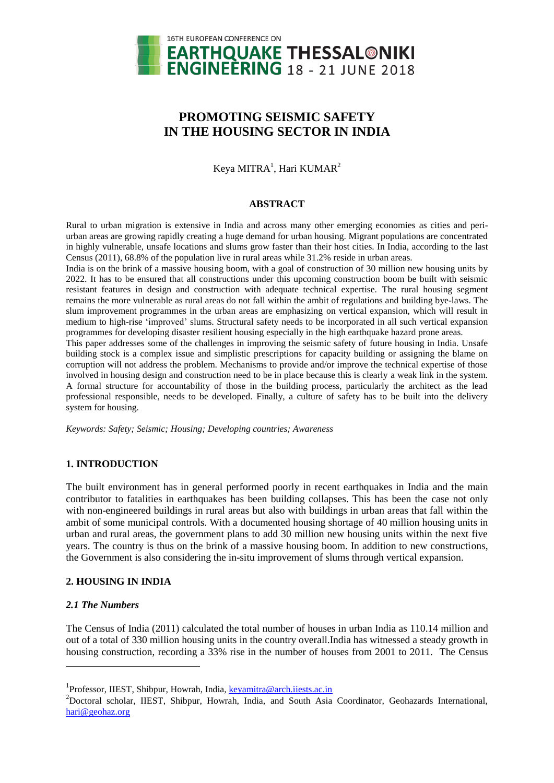

# **PROMOTING SEISMIC SAFETY IN THE HOUSING SECTOR IN INDIA**

Keya MITRA<sup>1</sup>, Hari KUMAR<sup>2</sup>

#### **ABSTRACT**

Rural to urban migration is extensive in India and across many other emerging economies as cities and periurban areas are growing rapidly creating a huge demand for urban housing. Migrant populations are concentrated in highly vulnerable, unsafe locations and slums grow faster than their host cities. In India, according to the last Census (2011), 68.8% of the population live in rural areas while 31.2% reside in urban areas.

India is on the brink of a massive housing boom, with a goal of construction of 30 million new housing units by 2022. It has to be ensured that all constructions under this upcoming construction boom be built with seismic resistant features in design and construction with adequate technical expertise. The rural housing segment remains the more vulnerable as rural areas do not fall within the ambit of regulations and building bye-laws. The slum improvement programmes in the urban areas are emphasizing on vertical expansion, which will result in medium to high-rise "improved" slums. Structural safety needs to be incorporated in all such vertical expansion programmes for developing disaster resilient housing especially in the high earthquake hazard prone areas.

This paper addresses some of the challenges in improving the seismic safety of future housing in India. Unsafe building stock is a complex issue and simplistic prescriptions for capacity building or assigning the blame on corruption will not address the problem. Mechanisms to provide and/or improve the technical expertise of those involved in housing design and construction need to be in place because this is clearly a weak link in the system. A formal structure for accountability of those in the building process, particularly the architect as the lead professional responsible, needs to be developed. Finally, a culture of safety has to be built into the delivery system for housing.

*Keywords: Safety; Seismic; Housing; Developing countries; Awareness*

## **1. INTRODUCTION**

The built environment has in general performed poorly in recent earthquakes in India and the main contributor to fatalities in earthquakes has been building collapses. This has been the case not only with non-engineered buildings in rural areas but also with buildings in urban areas that fall within the ambit of some municipal controls. With a documented housing shortage of 40 million housing units in urban and rural areas, the government plans to add 30 million new housing units within the next five years. The country is thus on the brink of a massive housing boom. In addition to new constructions, the Government is also considering the in-situ improvement of slums through vertical expansion.

## **2. HOUSING IN INDIA**

## *2.1 The Numbers*

l

The Census of India (2011) calculated the total number of houses in urban India as 110.14 million and out of a total of 330 million housing units in the country overall.India has witnessed a steady growth in housing construction, recording a 33% rise in the number of houses from 2001 to 2011. The Census

<sup>&</sup>lt;sup>1</sup> Professor, IIEST, Shibpur, Howrah, India, keyamitra@arch.iiests.ac.in

<sup>2</sup>Doctoral scholar, IIEST, Shibpur, Howrah, India, and South Asia Coordinator, Geohazards International, hari@geohaz.org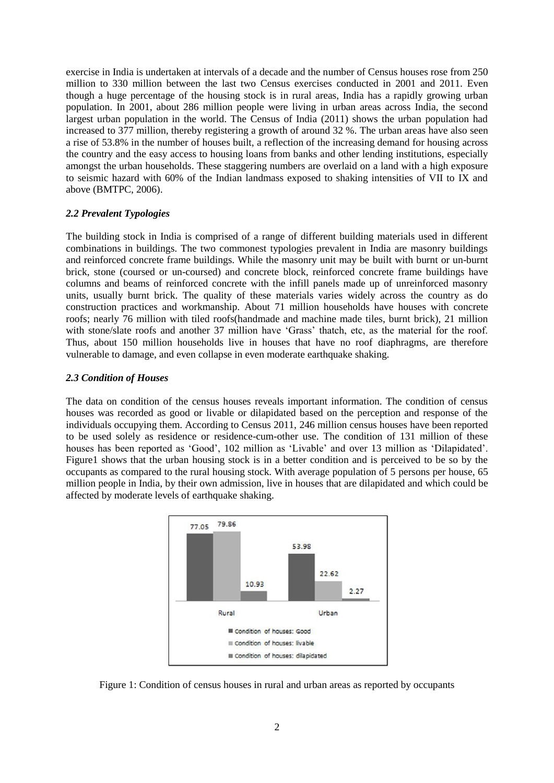exercise in India is undertaken at intervals of a decade and the number of Census houses rose from 250 million to 330 million between the last two Census exercises conducted in 2001 and 2011. Even though a huge percentage of the housing stock is in rural areas, India has a rapidly growing urban population. In 2001, about 286 million people were living in urban areas across India, the second largest urban population in the world. The Census of India (2011) shows the urban population had increased to 377 million, thereby registering a growth of around 32 %. The urban areas have also seen a rise of 53.8% in the number of houses built, a reflection of the increasing demand for housing across the country and the easy access to housing loans from banks and other lending institutions, especially amongst the urban households. These staggering numbers are overlaid on a land with a high exposure to seismic hazard with 60% of the Indian landmass exposed to shaking intensities of VII to IX and above (BMTPC, 2006).

# *2.2 Prevalent Typologies*

The building stock in India is comprised of a range of different building materials used in different combinations in buildings. The two commonest typologies prevalent in India are masonry buildings and reinforced concrete frame buildings. While the masonry unit may be built with burnt or un-burnt brick, stone (coursed or un-coursed) and concrete block, reinforced concrete frame buildings have columns and beams of reinforced concrete with the infill panels made up of unreinforced masonry units, usually burnt brick. The quality of these materials varies widely across the country as do construction practices and workmanship. About 71 million households have houses with concrete roofs; nearly 76 million with tiled roofs(handmade and machine made tiles, burnt brick), 21 million with stone/slate roofs and another 37 million have 'Grass' thatch, etc, as the material for the roof. Thus, about 150 million households live in houses that have no roof diaphragms, are therefore vulnerable to damage, and even collapse in even moderate earthquake shaking.

## *2.3 Condition of Houses*

The data on condition of the census houses reveals important information. The condition of census houses was recorded as good or livable or dilapidated based on the perception and response of the individuals occupying them. According to Census 2011, 246 million census houses have been reported to be used solely as residence or residence-cum-other use. The condition of 131 million of these houses has been reported as 'Good', 102 million as 'Livable' and over 13 million as 'Dilapidated'. Figure1 shows that the urban housing stock is in a better condition and is perceived to be so by the occupants as compared to the rural housing stock. With average population of 5 persons per house, 65 million people in India, by their own admission, live in houses that are dilapidated and which could be affected by moderate levels of earthquake shaking.



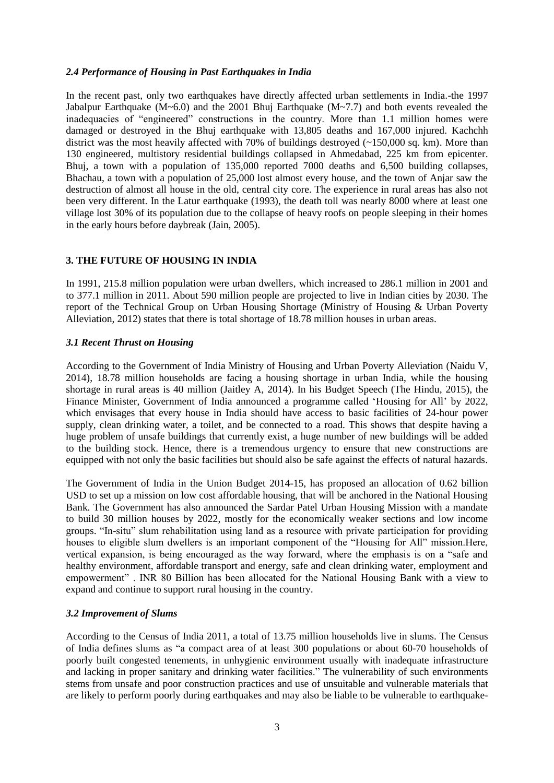#### *2.4 Performance of Housing in Past Earthquakes in India*

In the recent past, only two earthquakes have directly affected urban settlements in India.-the 1997 Jabalpur Earthquake (M~6.0) and the 2001 Bhuj Earthquake (M~7.7) and both events revealed the inadequacies of "engineered" constructions in the country. More than 1.1 million homes were damaged or destroyed in the Bhuj earthquake with 13,805 deaths and 167,000 injured. Kachchh district was the most heavily affected with 70% of buildings destroyed (~150,000 sq. km). More than 130 engineered, multistory residential buildings collapsed in Ahmedabad, 225 km from epicenter. Bhuj, a town with a population of 135,000 reported 7000 deaths and 6,500 building collapses, Bhachau, a town with a population of 25,000 lost almost every house, and the town of Anjar saw the destruction of almost all house in the old, central city core. The experience in rural areas has also not been very different. In the Latur earthquake (1993), the death toll was nearly 8000 where at least one village lost 30% of its population due to the collapse of heavy roofs on people sleeping in their homes in the early hours before daybreak (Jain, 2005).

# **3. THE FUTURE OF HOUSING IN INDIA**

In 1991, 215.8 million population were urban dwellers, which increased to 286.1 million in 2001 and to 377.1 million in 2011. About 590 million people are projected to live in Indian cities by 2030. The report of the Technical Group on Urban Housing Shortage (Ministry of Housing & Urban Poverty Alleviation, 2012) states that there is total shortage of 18.78 million houses in urban areas.

## *3.1 Recent Thrust on Housing*

According to the Government of India Ministry of Housing and Urban Poverty Alleviation (Naidu V, 2014), 18.78 million households are facing a housing shortage in urban India, while the housing shortage in rural areas is 40 million (Jaitley A, 2014). In his Budget Speech (The Hindu, 2015), the Finance Minister, Government of India announced a programme called "Housing for All" by 2022, which envisages that every house in India should have access to basic facilities of 24-hour power supply, clean drinking water, a toilet, and be connected to a road. This shows that despite having a huge problem of unsafe buildings that currently exist, a huge number of new buildings will be added to the building stock. Hence, there is a tremendous urgency to ensure that new constructions are equipped with not only the basic facilities but should also be safe against the effects of natural hazards.

The Government of India in the Union Budget 2014-15, has proposed an allocation of 0.62 billion USD to set up a mission on low cost affordable housing, that will be anchored in the National Housing Bank. The Government has also announced the Sardar Patel Urban Housing Mission with a mandate to build 30 million houses by 2022, mostly for the economically weaker sections and low income groups. "In-situ" slum rehabilitation using land as a resource with private participation for providing houses to eligible slum dwellers is an important component of the "Housing for All" mission.Here, vertical expansion, is being encouraged as the way forward, where the emphasis is on a "safe and healthy environment, affordable transport and energy, safe and clean drinking water, employment and empowerment" . INR 80 Billion has been allocated for the National Housing Bank with a view to expand and continue to support rural housing in the country.

## *3.2 Improvement of Slums*

According to the Census of India 2011, a total of 13.75 million households live in slums. The Census of India defines slums as "a compact area of at least 300 populations or about 60-70 households of poorly built congested tenements, in unhygienic environment usually with inadequate infrastructure and lacking in proper sanitary and drinking water facilities." The vulnerability of such environments stems from unsafe and poor construction practices and use of unsuitable and vulnerable materials that are likely to perform poorly during earthquakes and may also be liable to be vulnerable to earthquake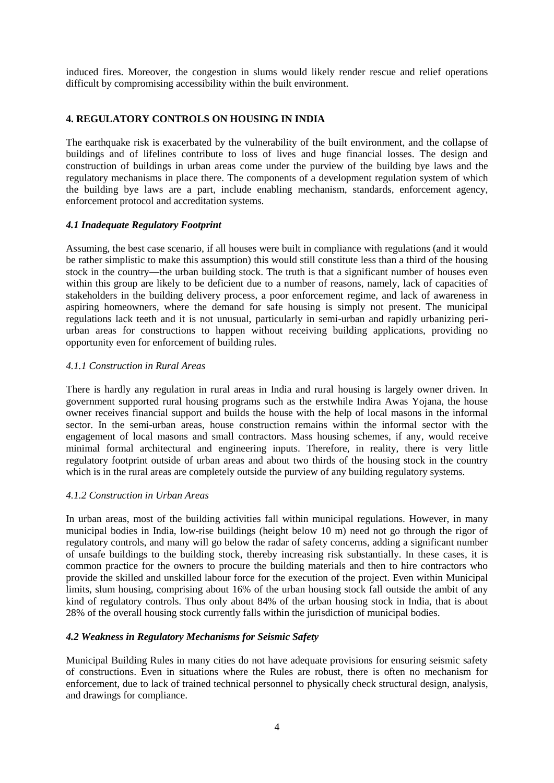induced fires. Moreover, the congestion in slums would likely render rescue and relief operations difficult by compromising accessibility within the built environment.

# **4. REGULATORY CONTROLS ON HOUSING IN INDIA**

The earthquake risk is exacerbated by the vulnerability of the built environment, and the collapse of buildings and of lifelines contribute to loss of lives and huge financial losses. The design and construction of buildings in urban areas come under the purview of the building bye laws and the regulatory mechanisms in place there. The components of a development regulation system of which the building bye laws are a part, include enabling mechanism, standards, enforcement agency, enforcement protocol and accreditation systems.

## *4.1 Inadequate Regulatory Footprint*

Assuming, the best case scenario, if all houses were built in compliance with regulations (and it would be rather simplistic to make this assumption) this would still constitute less than a third of the housing stock in the country—the urban building stock. The truth is that a significant number of houses even within this group are likely to be deficient due to a number of reasons, namely, lack of capacities of stakeholders in the building delivery process, a poor enforcement regime, and lack of awareness in aspiring homeowners, where the demand for safe housing is simply not present. The municipal regulations lack teeth and it is not unusual, particularly in semi-urban and rapidly urbanizing periurban areas for constructions to happen without receiving building applications, providing no opportunity even for enforcement of building rules.

# *4.1.1 Construction in Rural Areas*

There is hardly any regulation in rural areas in India and rural housing is largely owner driven. In government supported rural housing programs such as the erstwhile Indira Awas Yojana, the house owner receives financial support and builds the house with the help of local masons in the informal sector. In the semi-urban areas, house construction remains within the informal sector with the engagement of local masons and small contractors. Mass housing schemes, if any, would receive minimal formal architectural and engineering inputs. Therefore, in reality, there is very little regulatory footprint outside of urban areas and about two thirds of the housing stock in the country which is in the rural areas are completely outside the purview of any building regulatory systems.

## *4.1.2 Construction in Urban Areas*

In urban areas, most of the building activities fall within municipal regulations. However, in many municipal bodies in India, low-rise buildings (height below 10 m) need not go through the rigor of regulatory controls, and many will go below the radar of safety concerns, adding a significant number of unsafe buildings to the building stock, thereby increasing risk substantially. In these cases, it is common practice for the owners to procure the building materials and then to hire contractors who provide the skilled and unskilled labour force for the execution of the project. Even within Municipal limits, slum housing, comprising about 16% of the urban housing stock fall outside the ambit of any kind of regulatory controls. Thus only about 84% of the urban housing stock in India, that is about 28% of the overall housing stock currently falls within the jurisdiction of municipal bodies.

# *4.2 Weakness in Regulatory Mechanisms for Seismic Safety*

Municipal Building Rules in many cities do not have adequate provisions for ensuring seismic safety of constructions. Even in situations where the Rules are robust, there is often no mechanism for enforcement, due to lack of trained technical personnel to physically check structural design, analysis, and drawings for compliance.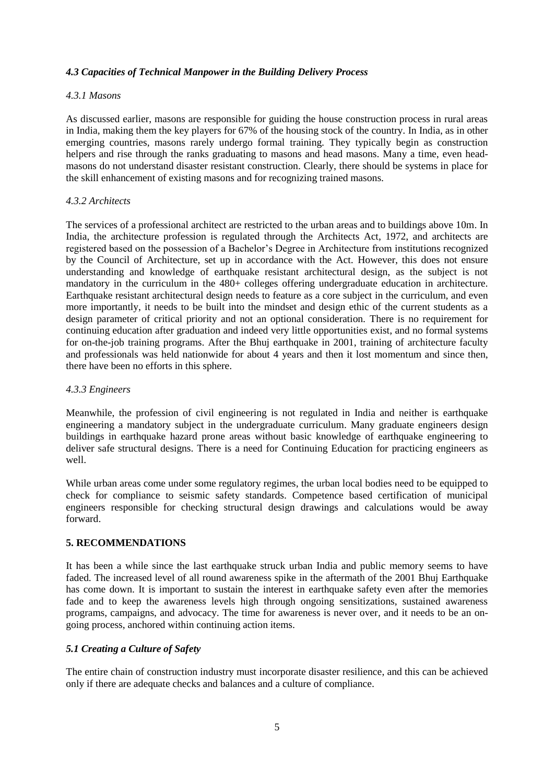# *4.3 Capacities of Technical Manpower in the Building Delivery Process*

#### *4.3.1 Masons*

As discussed earlier, masons are responsible for guiding the house construction process in rural areas in India, making them the key players for 67% of the housing stock of the country. In India, as in other emerging countries, masons rarely undergo formal training. They typically begin as construction helpers and rise through the ranks graduating to masons and head masons. Many a time, even headmasons do not understand disaster resistant construction. Clearly, there should be systems in place for the skill enhancement of existing masons and for recognizing trained masons.

#### *4.3.2 Architects*

The services of a professional architect are restricted to the urban areas and to buildings above 10m. In India, the architecture profession is regulated through the Architects Act, 1972, and architects are registered based on the possession of a Bachelor"s Degree in Architecture from institutions recognized by the Council of Architecture, set up in accordance with the Act. However, this does not ensure understanding and knowledge of earthquake resistant architectural design, as the subject is not mandatory in the curriculum in the 480+ colleges offering undergraduate education in architecture. Earthquake resistant architectural design needs to feature as a core subject in the curriculum, and even more importantly, it needs to be built into the mindset and design ethic of the current students as a design parameter of critical priority and not an optional consideration. There is no requirement for continuing education after graduation and indeed very little opportunities exist, and no formal systems for on-the-job training programs. After the Bhuj earthquake in 2001, training of architecture faculty and professionals was held nationwide for about 4 years and then it lost momentum and since then, there have been no efforts in this sphere.

#### *4.3.3 Engineers*

Meanwhile, the profession of civil engineering is not regulated in India and neither is earthquake engineering a mandatory subject in the undergraduate curriculum. Many graduate engineers design buildings in earthquake hazard prone areas without basic knowledge of earthquake engineering to deliver safe structural designs. There is a need for Continuing Education for practicing engineers as well.

While urban areas come under some regulatory regimes, the urban local bodies need to be equipped to check for compliance to seismic safety standards. Competence based certification of municipal engineers responsible for checking structural design drawings and calculations would be away forward.

## **5. RECOMMENDATIONS**

It has been a while since the last earthquake struck urban India and public memory seems to have faded. The increased level of all round awareness spike in the aftermath of the 2001 Bhuj Earthquake has come down. It is important to sustain the interest in earthquake safety even after the memories fade and to keep the awareness levels high through ongoing sensitizations, sustained awareness programs, campaigns, and advocacy. The time for awareness is never over, and it needs to be an ongoing process, anchored within continuing action items.

## *5.1 Creating a Culture of Safety*

The entire chain of construction industry must incorporate disaster resilience, and this can be achieved only if there are adequate checks and balances and a culture of compliance.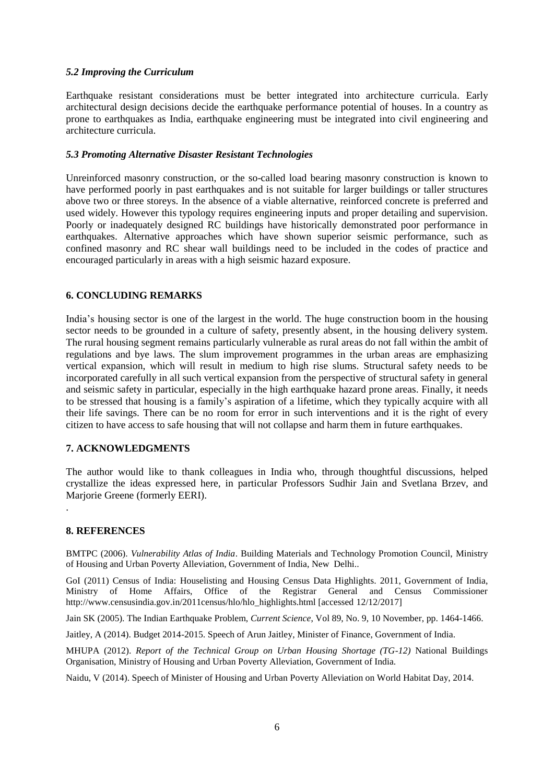## *5.2 Improving the Curriculum*

Earthquake resistant considerations must be better integrated into architecture curricula. Early architectural design decisions decide the earthquake performance potential of houses. In a country as prone to earthquakes as India, earthquake engineering must be integrated into civil engineering and architecture curricula.

## *5.3 Promoting Alternative Disaster Resistant Technologies*

Unreinforced masonry construction, or the so-called load bearing masonry construction is known to have performed poorly in past earthquakes and is not suitable for larger buildings or taller structures above two or three storeys. In the absence of a viable alternative, reinforced concrete is preferred and used widely. However this typology requires engineering inputs and proper detailing and supervision. Poorly or inadequately designed RC buildings have historically demonstrated poor performance in earthquakes. Alternative approaches which have shown superior seismic performance, such as confined masonry and RC shear wall buildings need to be included in the codes of practice and encouraged particularly in areas with a high seismic hazard exposure.

## **6. CONCLUDING REMARKS**

India"s housing sector is one of the largest in the world. The huge construction boom in the housing sector needs to be grounded in a culture of safety, presently absent, in the housing delivery system. The rural housing segment remains particularly vulnerable as rural areas do not fall within the ambit of regulations and bye laws. The slum improvement programmes in the urban areas are emphasizing vertical expansion, which will result in medium to high rise slums. Structural safety needs to be incorporated carefully in all such vertical expansion from the perspective of structural safety in general and seismic safety in particular, especially in the high earthquake hazard prone areas. Finally, it needs to be stressed that housing is a family"s aspiration of a lifetime, which they typically acquire with all their life savings. There can be no room for error in such interventions and it is the right of every citizen to have access to safe housing that will not collapse and harm them in future earthquakes.

## **7. ACKNOWLEDGMENTS**

The author would like to thank colleagues in India who, through thoughtful discussions, helped crystallize the ideas expressed here, in particular Professors Sudhir Jain and Svetlana Brzev, and Marjorie Greene (formerly EERI).

#### **8. REFERENCES**

.

BMTPC (2006). *Vulnerability Atlas of India*. Building Materials and Technology Promotion Council, Ministry of Housing and Urban Poverty Alleviation, Government of India, New Delhi..

GoI (2011) Census of India: Houselisting and Housing Census Data Highlights. 2011, Government of India, Ministry of Home Affairs, Office of the Registrar General and Census Commissioner http://www.censusindia.gov.in/2011census/hlo/hlo\_highlights.html [accessed 12/12/2017]

Jain SK (2005). The Indian Earthquake Problem, *Current Science*, Vol 89, No. 9, 10 November, pp. 1464-1466.

Jaitley, A (2014). Budget 2014-2015. Speech of Arun Jaitley, Minister of Finance, Government of India.

MHUPA (2012). *Report of the Technical Group on Urban Housing Shortage (TG-12)* National Buildings Organisation, Ministry of Housing and Urban Poverty Alleviation, Government of India.

Naidu, V (2014). Speech of Minister of Housing and Urban Poverty Alleviation on World Habitat Day, 2014.